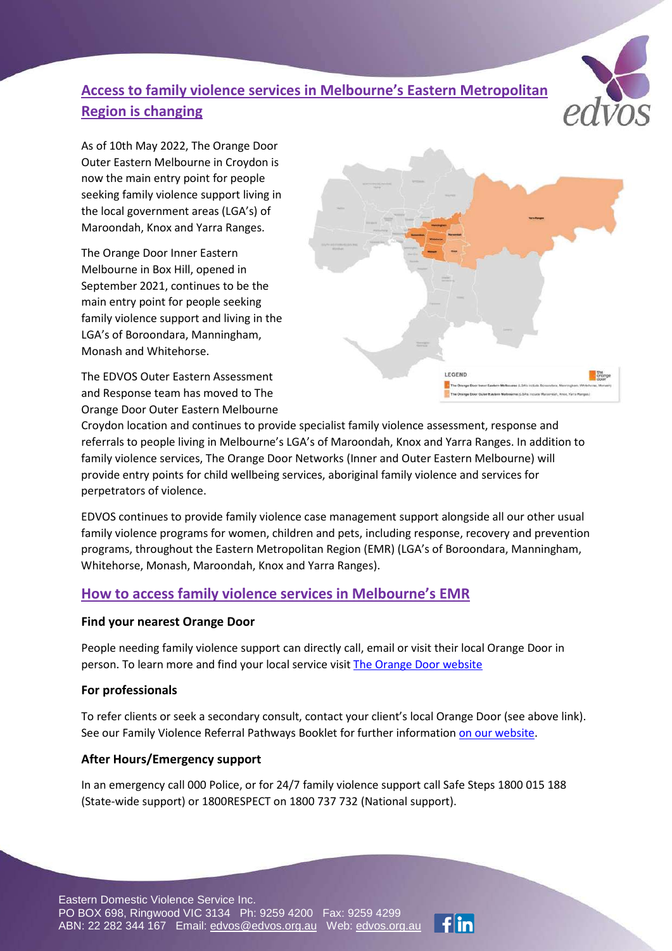# **Access to family violence services in Melbourne's Eastern Metropolitan Region is changing**



As of 10th May 2022, The Orange Door Outer Eastern Melbourne in Croydon is now the main entry point for people seeking family violence support living in the local government areas (LGA's) of Maroondah, Knox and Yarra Ranges.

The Orange Door Inner Eastern Melbourne in Box Hill, opened in September 2021, continues to be the main entry point for people seeking family violence support and living in the LGA's of Boroondara, Manningham, Monash and Whitehorse.

The EDVOS Outer Eastern Assessment and Response team has moved to The Orange Door Outer Eastern Melbourne



Croydon location and continues to provide specialist family violence assessment, response and referrals to people living in Melbourne's LGA's of Maroondah, Knox and Yarra Ranges. In addition to family violence services, The Orange Door Networks (Inner and Outer Eastern Melbourne) will provide entry points for child wellbeing services, aboriginal family violence and services for perpetrators of violence.

EDVOS continues to provide family violence case management support alongside all our other usual family violence programs for women, children and pets, including response, recovery and prevention programs, throughout the Eastern Metropolitan Region (EMR) (LGA's of Boroondara, Manningham, Whitehorse, Monash, Maroondah, Knox and Yarra Ranges).

## **How to access family violence services in Melbourne's EMR**

### **Find your nearest Orange Door**

People needing family violence support can directly call, email or visit their local Orange Door in person. To learn more and find your local service visit [The Orange Door website](https://orangedoor.vic.gov.au/find-a-service-near-you)

### **For professionals**

To refer clients or seek a secondary consult, contact your client's local Orange Door (see above link). See our Family Violence Referral Pathways Booklet for further information [on our website.](https://www.edvos.org.au/)

### **After Hours/Emergency support**

In an emergency call 000 Police, or for 24/7 family violence support call Safe Steps 1800 015 188 (State-wide support) or 1800RESPECT on 1800 737 732 (National support).

Eastern Domestic Violence Service Inc. PO BOX 698, Ringwood VIC 3134 Ph: 9259 4200 Fax: 9259 4299 ABN: 22 282 344 167 Email: [edvos@edvos.org.au](mailto:edvos@edvos.org.au) Web: edvos.org.au